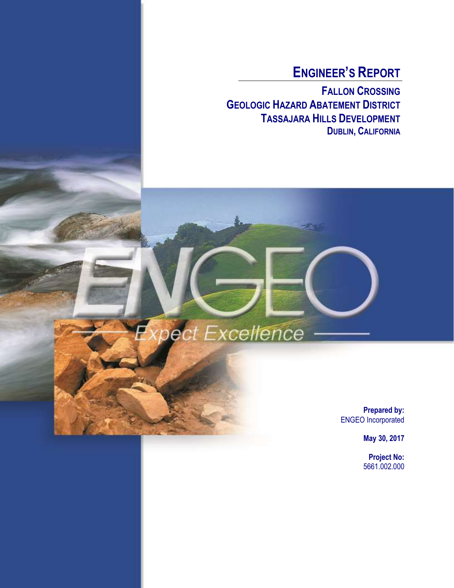# **ENGINEER'S REPORT**

**FALLON CROSSING GEOLOGIC HAZARD ABATEMENT DISTRICT TASSAJARA HILLS DEVELOPMENT DUBLIN, CALIFORNIA**

Expect Excellence

**Prepared by:** ENGEO Incorporated

**May 30, 2017**

**Project No:** 5661.002.000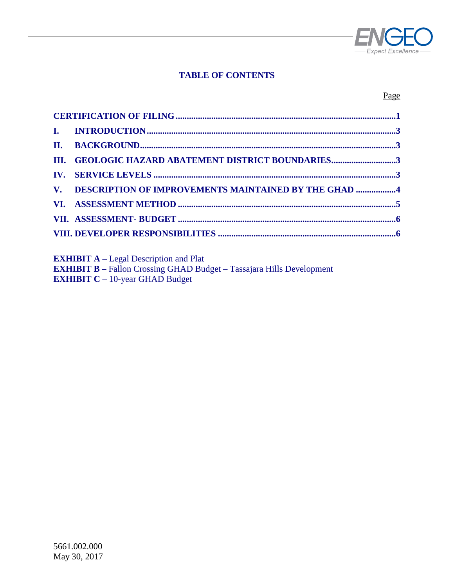

### **TABLE OF CONTENTS**

#### Page

| III. GEOLOGIC HAZARD ABATEMENT DISTRICT BOUNDARIES3     |
|---------------------------------------------------------|
|                                                         |
| V. DESCRIPTION OF IMPROVEMENTS MAINTAINED BY THE GHAD 4 |
|                                                         |
|                                                         |
|                                                         |

**EXHIBIT A –** Legal Description and Plat

**EXHIBIT B –** Fallon Crossing GHAD Budget – Tassajara Hills Development **EXHIBIT C** – 10-year GHAD Budget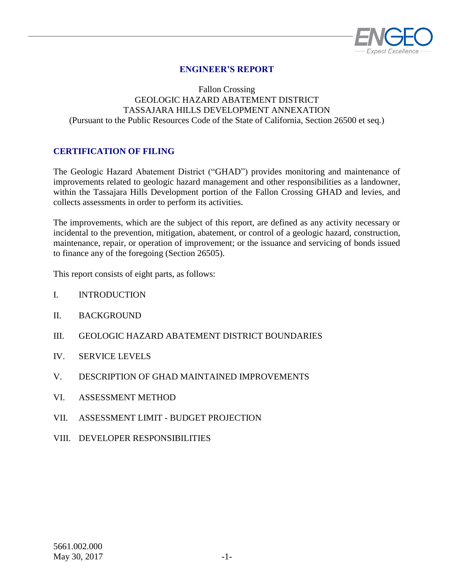

## **ENGINEER'S REPORT**

#### Fallon Crossing GEOLOGIC HAZARD ABATEMENT DISTRICT TASSAJARA HILLS DEVELOPMENT ANNEXATION (Pursuant to the Public Resources Code of the State of California, Section 26500 et seq.)

#### <span id="page-2-0"></span>**CERTIFICATION OF FILING**

The Geologic Hazard Abatement District ("GHAD") provides monitoring and maintenance of improvements related to geologic hazard management and other responsibilities as a landowner, within the Tassajara Hills Development portion of the Fallon Crossing GHAD and levies, and collects assessments in order to perform its activities.

The improvements, which are the subject of this report, are defined as any activity necessary or incidental to the prevention, mitigation, abatement, or control of a geologic hazard, construction, maintenance, repair, or operation of improvement; or the issuance and servicing of bonds issued to finance any of the foregoing (Section 26505).

This report consists of eight parts, as follows:

- I. INTRODUCTION
- II. BACKGROUND
- III. GEOLOGIC HAZARD ABATEMENT DISTRICT BOUNDARIES
- IV. SERVICE LEVELS
- V. DESCRIPTION OF GHAD MAINTAINED IMPROVEMENTS
- VI. ASSESSMENT METHOD
- VII. ASSESSMENT LIMIT BUDGET PROJECTION
- VIII. DEVELOPER RESPONSIBILITIES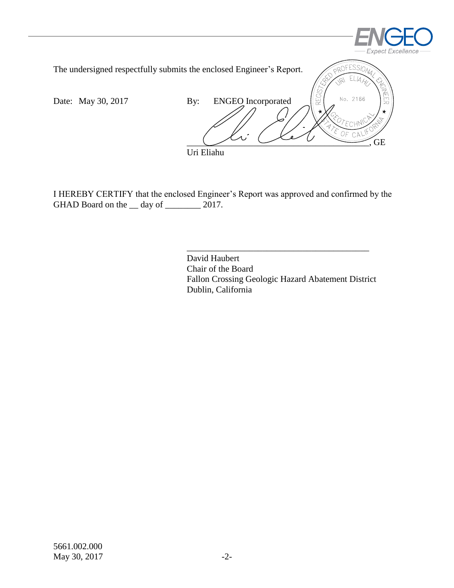



I HEREBY CERTIFY that the enclosed Engineer's Report was approved and confirmed by the GHAD Board on the \_\_ day of \_\_\_\_\_\_\_\_\_ 2017.

> David Haubert Chair of the Board Fallon Crossing Geologic Hazard Abatement District Dublin, California

\_\_\_\_\_\_\_\_\_\_\_\_\_\_\_\_\_\_\_\_\_\_\_\_\_\_\_\_\_\_\_\_\_\_\_\_\_\_\_\_\_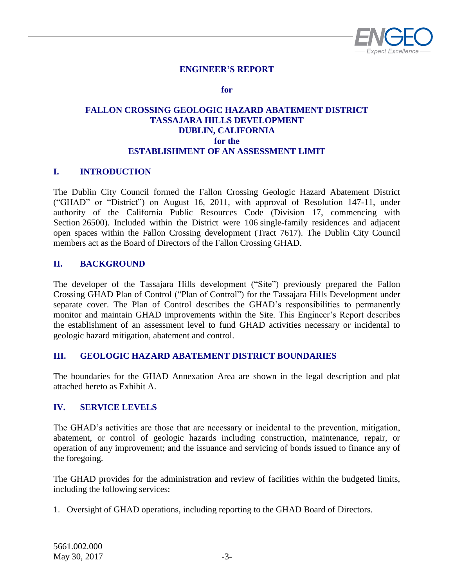

#### **ENGINEER'S REPORT**

**for**

#### **FALLON CROSSING GEOLOGIC HAZARD ABATEMENT DISTRICT TASSAJARA HILLS DEVELOPMENT DUBLIN, CALIFORNIA for the ESTABLISHMENT OF AN ASSESSMENT LIMIT**

#### <span id="page-4-0"></span>**I. INTRODUCTION**

The Dublin City Council formed the Fallon Crossing Geologic Hazard Abatement District ("GHAD" or "District") on August 16, 2011, with approval of Resolution 147-11, under authority of the California Public Resources Code (Division 17, commencing with Section 26500). Included within the District were 106 single-family residences and adjacent open spaces within the Fallon Crossing development (Tract 7617). The Dublin City Council members act as the Board of Directors of the Fallon Crossing GHAD.

#### <span id="page-4-1"></span>**II. BACKGROUND**

The developer of the Tassajara Hills development ("Site") previously prepared the Fallon Crossing GHAD Plan of Control ("Plan of Control") for the Tassajara Hills Development under separate cover. The Plan of Control describes the GHAD's responsibilities to permanently monitor and maintain GHAD improvements within the Site. This Engineer's Report describes the establishment of an assessment level to fund GHAD activities necessary or incidental to geologic hazard mitigation, abatement and control.

#### <span id="page-4-2"></span>**III. GEOLOGIC HAZARD ABATEMENT DISTRICT BOUNDARIES**

The boundaries for the GHAD Annexation Area are shown in the legal description and plat attached hereto as Exhibit A.

#### <span id="page-4-3"></span>**IV. SERVICE LEVELS**

The GHAD's activities are those that are necessary or incidental to the prevention, mitigation, abatement, or control of geologic hazards including construction, maintenance, repair, or operation of any improvement; and the issuance and servicing of bonds issued to finance any of the foregoing.

The GHAD provides for the administration and review of facilities within the budgeted limits, including the following services:

1. Oversight of GHAD operations, including reporting to the GHAD Board of Directors.

5661.002.000 May 30, 2017  $-3$ -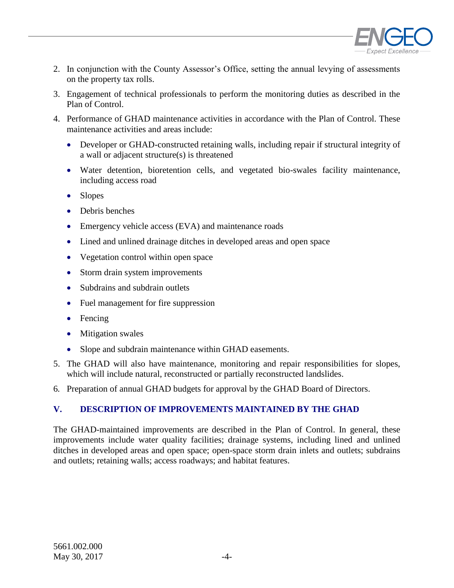

- 2. In conjunction with the County Assessor's Office, setting the annual levying of assessments on the property tax rolls.
- 3. Engagement of technical professionals to perform the monitoring duties as described in the Plan of Control.
- 4. Performance of GHAD maintenance activities in accordance with the Plan of Control. These maintenance activities and areas include:
	- Developer or GHAD-constructed retaining walls, including repair if structural integrity of a wall or adjacent structure(s) is threatened
	- Water detention, bioretention cells, and vegetated bio-swales facility maintenance, including access road
	- Slopes
	- Debris benches
	- Emergency vehicle access (EVA) and maintenance roads
	- Lined and unlined drainage ditches in developed areas and open space
	- Vegetation control within open space
	- Storm drain system improvements
	- Subdrains and subdrain outlets
	- Fuel management for fire suppression
	- Fencing
	- Mitigation swales
	- Slope and subdrain maintenance within GHAD easements.
- 5. The GHAD will also have maintenance, monitoring and repair responsibilities for slopes, which will include natural, reconstructed or partially reconstructed landslides.
- 6*.* Preparation of annual GHAD budgets for approval by the GHAD Board of Directors.

## <span id="page-5-0"></span>**V. DESCRIPTION OF IMPROVEMENTS MAINTAINED BY THE GHAD**

<span id="page-5-1"></span>The GHAD-maintained improvements are described in the Plan of Control. In general, these improvements include water quality facilities; drainage systems, including lined and unlined ditches in developed areas and open space; open-space storm drain inlets and outlets; subdrains and outlets; retaining walls; access roadways; and habitat features.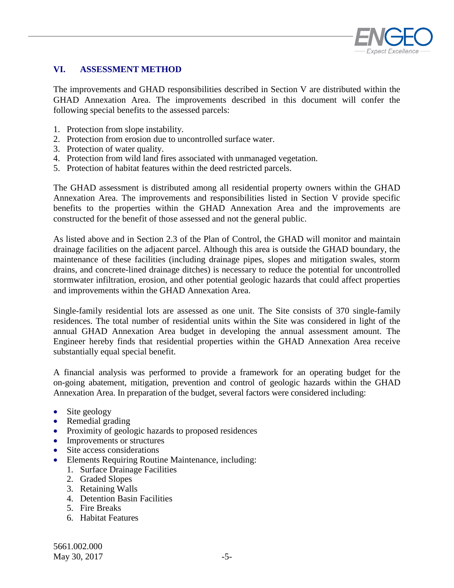

### **VI. ASSESSMENT METHOD**

The improvements and GHAD responsibilities described in Section V are distributed within the GHAD Annexation Area. The improvements described in this document will confer the following special benefits to the assessed parcels:

- 1. Protection from slope instability.
- 2. Protection from erosion due to uncontrolled surface water.
- 3. Protection of water quality.
- 4. Protection from wild land fires associated with unmanaged vegetation.
- 5. Protection of habitat features within the deed restricted parcels.

The GHAD assessment is distributed among all residential property owners within the GHAD Annexation Area. The improvements and responsibilities listed in Section V provide specific benefits to the properties within the GHAD Annexation Area and the improvements are constructed for the benefit of those assessed and not the general public.

As listed above and in Section 2.3 of the Plan of Control, the GHAD will monitor and maintain drainage facilities on the adjacent parcel. Although this area is outside the GHAD boundary, the maintenance of these facilities (including drainage pipes, slopes and mitigation swales, storm drains, and concrete-lined drainage ditches) is necessary to reduce the potential for uncontrolled stormwater infiltration, erosion, and other potential geologic hazards that could affect properties and improvements within the GHAD Annexation Area.

Single-family residential lots are assessed as one unit. The Site consists of 370 single-family residences. The total number of residential units within the Site was considered in light of the annual GHAD Annexation Area budget in developing the annual assessment amount. The Engineer hereby finds that residential properties within the GHAD Annexation Area receive substantially equal special benefit.

A financial analysis was performed to provide a framework for an operating budget for the on-going abatement, mitigation, prevention and control of geologic hazards within the GHAD Annexation Area. In preparation of the budget, several factors were considered including:

- Site geology
- Remedial grading
- Proximity of geologic hazards to proposed residences
- Improvements or structures
- Site access considerations
- Elements Requiring Routine Maintenance, including:
	- 1. Surface Drainage Facilities
	- 2. Graded Slopes
	- 3. Retaining Walls
	- 4. Detention Basin Facilities
	- 5. Fire Breaks
	- 6. Habitat Features

5661.002.000 May 30, 2017 -5-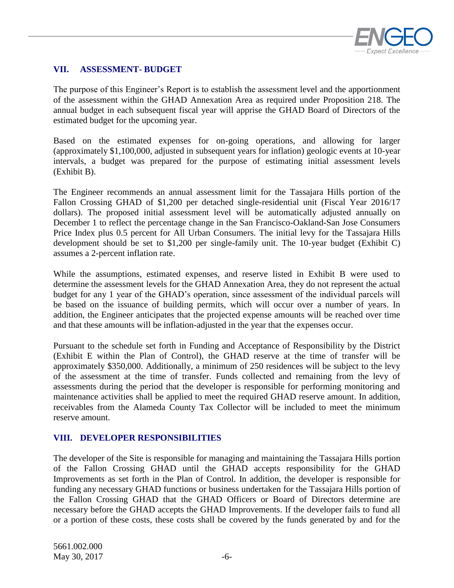

#### <span id="page-7-0"></span>**VII. ASSESSMENT- BUDGET**

The purpose of this Engineer's Report is to establish the assessment level and the apportionment of the assessment within the GHAD Annexation Area as required under Proposition 218. The annual budget in each subsequent fiscal year will apprise the GHAD Board of Directors of the estimated budget for the upcoming year.

Based on the estimated expenses for on-going operations, and allowing for larger (approximately \$1,100,000, adjusted in subsequent years for inflation) geologic events at 10-year intervals, a budget was prepared for the purpose of estimating initial assessment levels (Exhibit B).

The Engineer recommends an annual assessment limit for the Tassajara Hills portion of the Fallon Crossing GHAD of \$1,200 per detached single-residential unit (Fiscal Year 2016/17 dollars). The proposed initial assessment level will be automatically adjusted annually on December 1 to reflect the percentage change in the San Francisco-Oakland-San Jose Consumers Price Index plus 0.5 percent for All Urban Consumers. The initial levy for the Tassajara Hills development should be set to \$1,200 per single-family unit. The 10-year budget (Exhibit C) assumes a 2-percent inflation rate.

While the assumptions, estimated expenses, and reserve listed in Exhibit B were used to determine the assessment levels for the GHAD Annexation Area, they do not represent the actual budget for any 1 year of the GHAD's operation, since assessment of the individual parcels will be based on the issuance of building permits, which will occur over a number of years. In addition, the Engineer anticipates that the projected expense amounts will be reached over time and that these amounts will be inflation-adjusted in the year that the expenses occur.

Pursuant to the schedule set forth in Funding and Acceptance of Responsibility by the District (Exhibit E within the Plan of Control), the GHAD reserve at the time of transfer will be approximately \$350,000. Additionally, a minimum of 250 residences will be subject to the levy of the assessment at the time of transfer. Funds collected and remaining from the levy of assessments during the period that the developer is responsible for performing monitoring and maintenance activities shall be applied to meet the required GHAD reserve amount. In addition, receivables from the Alameda County Tax Collector will be included to meet the minimum reserve amount.

#### <span id="page-7-1"></span>**VIII. DEVELOPER RESPONSIBILITIES**

The developer of the Site is responsible for managing and maintaining the Tassajara Hills portion of the Fallon Crossing GHAD until the GHAD accepts responsibility for the GHAD Improvements as set forth in the Plan of Control. In addition, the developer is responsible for funding any necessary GHAD functions or business undertaken for the Tassajara Hills portion of the Fallon Crossing GHAD that the GHAD Officers or Board of Directors determine are necessary before the GHAD accepts the GHAD Improvements. If the developer fails to fund all or a portion of these costs, these costs shall be covered by the funds generated by and for the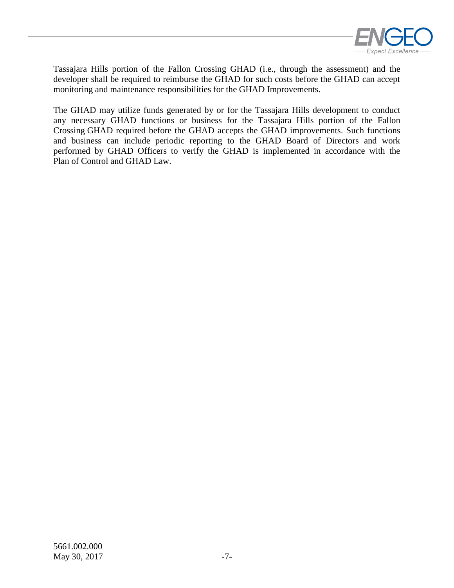

Tassajara Hills portion of the Fallon Crossing GHAD (i.e., through the assessment) and the developer shall be required to reimburse the GHAD for such costs before the GHAD can accept monitoring and maintenance responsibilities for the GHAD Improvements.

The GHAD may utilize funds generated by or for the Tassajara Hills development to conduct any necessary GHAD functions or business for the Tassajara Hills portion of the Fallon Crossing GHAD required before the GHAD accepts the GHAD improvements. Such functions and business can include periodic reporting to the GHAD Board of Directors and work performed by GHAD Officers to verify the GHAD is implemented in accordance with the Plan of Control and GHAD Law.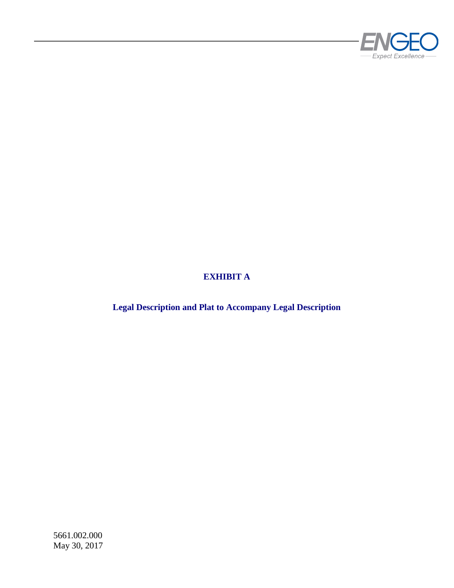

# **EXHIBIT A**

**Legal Description and Plat to Accompany Legal Description**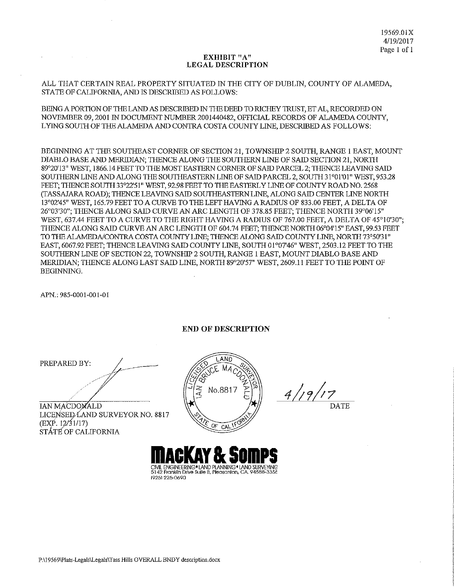#### EXHIBIT "A" **LEGAL DESCRIPTION**

ALL THAT CERTAIN REAL PROPERTY SITUATED IN THE CITY OF DUBLIN, COUNTY OF ALAMEDA, STATE OF CALIFORNIA, AND IS DESCRIBED AS FOLLOWS:

BEING A PORTION OF THE LAND AS DESCRIBED IN THE DEED TO RICHEY TRUST, ET AL, RECORDED ON NOVEMBER 09, 2001 IN DOCUMENT NUMBER 2001440482, OFFICIAL RECORDS OF ALAMEDA COUNTY, LYING SOUTH OF THE ALAMEDA AND CONTRA COSTA COUNTY LINE, DESCRIBED AS FOLLOWS:

BEGINNING AT THE SOUTHEAST CORNER OF SECTION 21, TOWNSHIP 2 SOUTH, RANGE 1 EAST, MOUNT DIABLO BASE AND MERIDIAN; THENCE ALONG THE SOUTHERN LINE OF SAID SECTION 21, NORTH 89°20'13" WEST, 1866.14 FEET TO THE MOST EASTERN CORNER OF SAID PARCEL 2; THENCE LEAVING SAID SOUTHERN LINE AND ALONG THE SOUTHEASTERN LINE OF SAID PARCEL 2, SOUTH 31°01'01" WEST, 953.28 FEET; THENCE SOUTH 33°22'51" WEST, 92.98 FEET TO THE EASTERLY LINE OF COUNTY ROAD NO. 2568 (TASSAJARA ROAD): THENCE LEAVING SAID SOUTHEASTERN LINE, ALONG SAID CENTER LINE NORTH 13°02'45" WEST, 165.79 FEET TO A CURVE TO THE LEFT HAVING A RADIUS OF 833.00 FEET, A DELTA OF 26°03'30"; THENCE ALONG SAID CURVE AN ARC LENGTH OF 378.85 FEET; THENCE NORTH 39°06'15" WEST, 637.44 FEET TO A CURVE TO THE RIGHT HAVING A RADIUS OF 767.00 FEET, A DELTA OF 45°10'30"; THENCE ALONG SAID CURVE AN ARC LENGTH OF 604.74 FEET; THENCE NORTH 06°04'15" EAST, 99.53 FEET TO THE ALAMEDA/CONTRA COSTA COUNTY LINE; THENCE ALONG SAID COUNTY LINE, NORTH 73°50'31" EAST, 6067.92 FEET; THENCE LEAVING SAID COUNTY LINE, SOUTH 01°07'46" WEST, 2503.12 FEET TO THE SOUTHERN LINE OF SECTION 22, TOWNSHIP 2 SOUTH, RANGE 1 EAST, MOUNT DIABLO BASE AND MERIDIAN; THENCE ALONG LAST SAID LINE, NORTH 89°20'57" WEST, 2609.11 FEET TO THE POINT OF **BEGINNING.** 

APN.: 985-0001-001-01

**END OF DESCRIPTION** 

PREPARED BY:

IAN MACDOMALD LICENSED LAND SURVEYOR NO. 8817 (EXP. 12/31/17)

STÁTÉ OF CALIFORNIA



 $4/19/17$ 

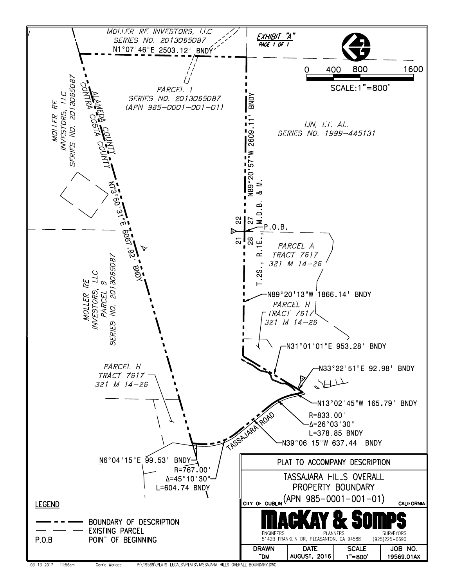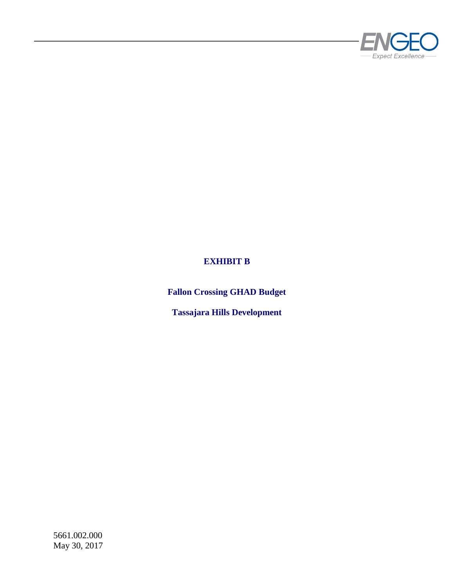

## **EXHIBIT B**

**Fallon Crossing GHAD Budget**

**Tassajara Hills Development**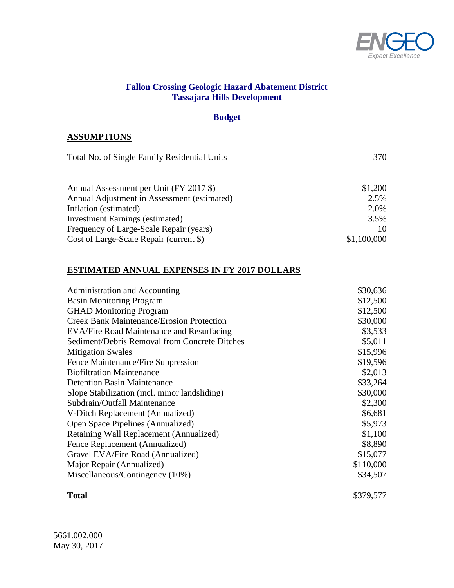

#### **Fallon Crossing Geologic Hazard Abatement District Tassajara Hills Development**

### **Budget**

#### **ASSUMPTIONS**

| Total No. of Single Family Residential Units | 370         |
|----------------------------------------------|-------------|
| Annual Assessment per Unit (FY 2017 \$)      | \$1,200     |
| Annual Adjustment in Assessment (estimated)  | 2.5%        |
| Inflation (estimated)                        | 2.0%        |
| <b>Investment Earnings (estimated)</b>       | 3.5%        |
| Frequency of Large-Scale Repair (years)      | 10          |
| Cost of Large-Scale Repair (current \$)      | \$1,100,000 |

#### **ESTIMATED ANNUAL EXPENSES IN FY 2017 DOLLARS**

| Administration and Accounting                    | \$30,636  |
|--------------------------------------------------|-----------|
| <b>Basin Monitoring Program</b>                  | \$12,500  |
| <b>GHAD Monitoring Program</b>                   | \$12,500  |
| <b>Creek Bank Maintenance/Erosion Protection</b> | \$30,000  |
| EVA/Fire Road Maintenance and Resurfacing        | \$3,533   |
| Sediment/Debris Removal from Concrete Ditches    | \$5,011   |
| <b>Mitigation Swales</b>                         | \$15,996  |
| Fence Maintenance/Fire Suppression               | \$19,596  |
| <b>Biofiltration Maintenance</b>                 | \$2,013   |
| <b>Detention Basin Maintenance</b>               | \$33,264  |
| Slope Stabilization (incl. minor landsliding)    | \$30,000  |
| Subdrain/Outfall Maintenance                     | \$2,300   |
| V-Ditch Replacement (Annualized)                 | \$6,681   |
| Open Space Pipelines (Annualized)                | \$5,973   |
| Retaining Wall Replacement (Annualized)          | \$1,100   |
| Fence Replacement (Annualized)                   | \$8,890   |
| Gravel EVA/Fire Road (Annualized)                | \$15,077  |
| Major Repair (Annualized)                        | \$110,000 |
| Miscellaneous/Contingency (10%)                  | \$34,507  |
|                                                  |           |

**Total**

\$379,577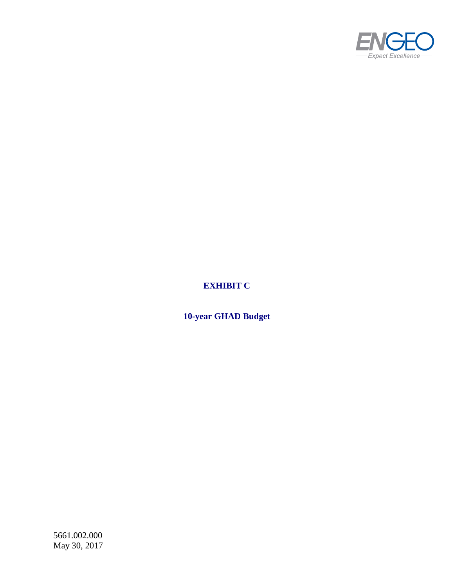

## **EXHIBIT C**

**10-year GHAD Budget**